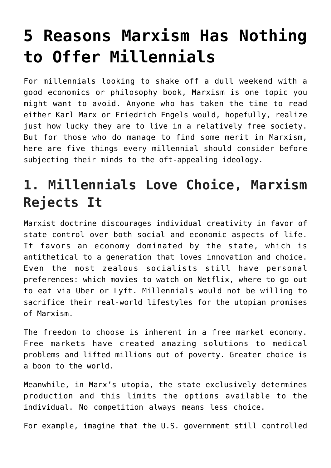# **[5 Reasons Marxism Has Nothing](https://intellectualtakeout.org/2017/08/5-reasons-marxism-has-nothing-to-offer-millennials/) [to Offer Millennials](https://intellectualtakeout.org/2017/08/5-reasons-marxism-has-nothing-to-offer-millennials/)**

For millennials looking to shake off a dull weekend with a good economics or philosophy book, Marxism is one topic you might want to avoid. Anyone who has taken the time to read either Karl Marx or Friedrich Engels would, hopefully, realize just how lucky they are to live in a relatively free society. But for those who do manage to find some merit in Marxism, here are five things every millennial should consider before subjecting their minds to the oft-appealing ideology.

# **1. Millennials Love Choice, Marxism Rejects It**

Marxist doctrine discourages individual creativity in favor of state control over both social and economic aspects of life. It favors an economy dominated by the state, which is antithetical to a generation that loves innovation and choice. Even the most zealous socialists still have personal preferences: which movies to watch on Netflix, where to go out to eat via Uber or Lyft. Millennials would not be willing to sacrifice their real-world lifestyles for the utopian promises of Marxism.

The freedom to choose is inherent in a free market economy. Free markets have created amazing solutions to medical problems and lifted millions out of poverty. Greater choice is a boon to the world.

Meanwhile, in Marx's utopia, the state exclusively determines production and this limits the options available to the individual. No competition always means less choice.

For example, imagine that the U.S. government still controlled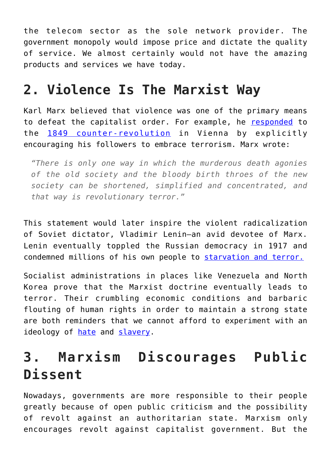the telecom sector as the sole network provider. The government monopoly would impose price and dictate the quality of service. We almost certainly would not have the amazing products and services we have today.

#### **2. Violence Is The Marxist Way**

Karl Marx believed that violence was one of the primary means to defeat the capitalist order. For example, he [responded](https://www.marxists.org/archive/marx/works/1848/11/06.htm) to the [1849 counter-revolution](https://www.britannica.com/place/Austria/Revolution-and-counterrevolution-1848-59) in Vienna by explicitly encouraging his followers to embrace terrorism. Marx wrote:

*"There is only one way in which the murderous death agonies of the old society and the bloody birth throes of the new society can be shortened, simplified and concentrated, and that way is revolutionary terror."*

This statement would later inspire the violent radicalization of Soviet dictator, Vladimir Lenin—an avid devotee of Marx. Lenin eventually toppled the Russian democracy in 1917 and condemned millions of his own people to [starvation and terror.](https://larussophobe.wordpress.com/2010/08/01/lenin-was-evil/)

Socialist administrations in places like Venezuela and North Korea prove that the Marxist doctrine eventually leads to terror. Their crumbling economic conditions and barbaric flouting of human rights in order to maintain a strong state are both reminders that we cannot afford to experiment with an ideology of [hate](http://selfeducatedamerican.com/2014/10/21/karl-marx-and-the-communist-religion-of-hate/) and [slavery](https://reason.com/archives/2016/08/28/frederick-douglass-on-capitalism-slavery).

## **3. Marxism Discourages Public Dissent**

Nowadays, governments are more responsible to their people greatly because of open public criticism and the possibility of revolt against an authoritarian state. Marxism only encourages revolt against capitalist government. But the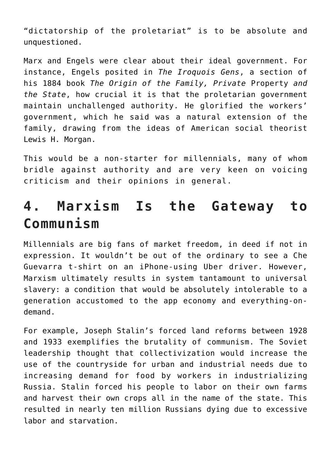"dictatorship of the proletariat" is to be absolute and unquestioned.

Marx and Engels were clear about their ideal government. For instance, Engels posited in *The Iroquois Gens*, a section of his 1884 book *The Origin of the Family, Private* Property *and the State*, how crucial it is that the proletarian government maintain unchallenged authority. He glorified the workers' government, which he said was a natural extension of the family, drawing from the ideas of American social theorist Lewis H. Morgan.

This would be a non-starter for millennials, many of whom bridle against authority and are very keen on voicing criticism and their opinions in general.

### **4. Marxism Is the Gateway to Communism**

Millennials are big fans of market freedom, in deed if not in expression. It wouldn't be out of the ordinary to see a Che Guevarra t-shirt on an iPhone-using Uber driver. However, Marxism ultimately results in system tantamount to universal slavery: a condition that would be absolutely intolerable to a generation accustomed to the app economy and everything-ondemand.

For example, Joseph Stalin's forced land reforms between 1928 and 1933 exemplifies the brutality of communism. The Soviet leadership thought that collectivization would increase the use of the countryside for urban and industrial needs due to increasing demand for food by workers in industrializing Russia. Stalin forced his people to labor on their own farms and harvest their own crops all in the name of the state. This resulted in nearly ten million Russians dying due to excessive labor and starvation.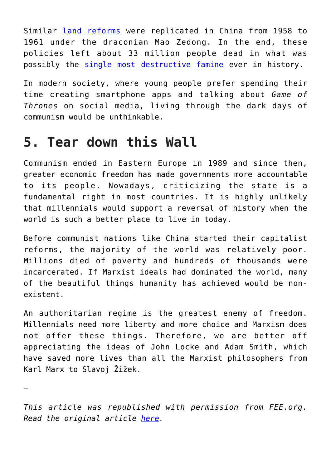Similar [land reforms](https://www.foreignaffairs.com/articles/china/1951-07-01/maos-stratagem-land-reform) were replicated in China from 1958 to 1961 under the draconian Mao Zedong. In the end, these policies left about 33 million people dead in what was possibly the [single most destructive famine](http://listverse.com/2013/01/03/10-deadliest-world-events-in-human-history) ever in history.

In modern society, where young people prefer spending their time creating smartphone apps and talking about *Game of Thrones* on social media, living through the dark days of communism would be unthinkable.

#### **5. Tear down this Wall**

Communism ended in Eastern Europe in 1989 and since then, greater economic freedom has made governments more accountable to its people. Nowadays, criticizing the state is a fundamental right in most countries. It is highly unlikely that millennials would support a reversal of history when the world is such a better place to live in today.

Before communist nations like China started their capitalist reforms, the majority of the world was relatively poor. Millions died of poverty and hundreds of thousands were incarcerated. If Marxist ideals had dominated the world, many of the beautiful things humanity has achieved would be nonexistent.

An authoritarian regime is the greatest enemy of freedom. Millennials need more liberty and more choice and Marxism does not offer these things. Therefore, we are better off appreciating the ideas of John Locke and Adam Smith, which have saved more lives than all the Marxist philosophers from Karl Marx to Slavoj Žižek.

—

*This article was republished with permission from FEE.org. Read the original article [here](https://fee.org/articles/5-reasons-marxism-has-nothing-to-offer-millennials/).*